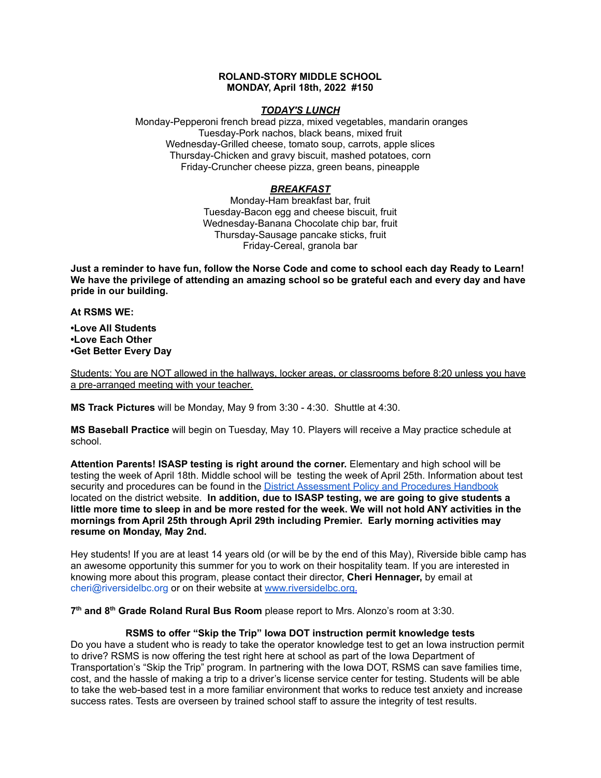### **ROLAND-STORY MIDDLE SCHOOL MONDAY, April 18th, 2022 #150**

### *TODAY'S LUNCH*

Monday-Pepperoni french bread pizza, mixed vegetables, mandarin oranges Tuesday-Pork nachos, black beans, mixed fruit Wednesday-Grilled cheese, tomato soup, carrots, apple slices Thursday-Chicken and gravy biscuit, mashed potatoes, corn Friday-Cruncher cheese pizza, green beans, pineapple

# *BREAKFAST*

Monday-Ham breakfast bar, fruit Tuesday-Bacon egg and cheese biscuit, fruit Wednesday-Banana Chocolate chip bar, fruit Thursday-Sausage pancake sticks, fruit Friday-Cereal, granola bar

Just a reminder to have fun, follow the Norse Code and come to school each day Ready to Learn! **We have the privilege of attending an amazing school so be grateful each and every day and have pride in our building.**

**At RSMS WE:**

**•Love All Students •Love Each Other •Get Better Every Day**

Students: You are NOT allowed in the hallways, locker areas, or classrooms before 8:20 unless you have a pre-arranged meeting with your teacher.

**MS Track Pictures** will be Monday, May 9 from 3:30 - 4:30. Shuttle at 4:30.

**MS Baseball Practice** will begin on Tuesday, May 10. Players will receive a May practice schedule at school.

**Attention Parents! ISASP testing is right around the corner.** Elementary and high school will be testing the week of April 18th. Middle school will be testing the week of April 25th. Information about test security and procedures can be found in the **District [Assessment](https://rolandstory.school/media/Michelle%20Soderstrum/RSCSD_District_Assessment_Poli%20-%20Copy%203.pdf) Policy and Procedures Handbook** located on the district website. **In addition, due to ISASP testing, we are going to give students a** little more time to sleep in and be more rested for the week. We will not hold ANY activities in the **mornings from April 25th through April 29th including Premier. Early morning activities may resume on Monday, May 2nd.**

Hey students! If you are at least 14 years old (or will be by the end of this May), Riverside bible camp has an awesome opportunity this summer for you to work on their hospitality team. If you are interested in knowing more about this program, please contact their director, **Cheri Hennager,** by email at cheri@riversidelbc.org or on their website at [www.riversidelbc.org.](http://www.riversidelbc.org/)

**7 th and 8 th Grade Roland Rural Bus Room** please report to Mrs. Alonzo's room at 3:30.

## **RSMS to offer "Skip the Trip" Iowa DOT instruction permit knowledge tests**

Do you have a student who is ready to take the operator knowledge test to get an Iowa instruction permit to drive? RSMS is now offering the test right here at school as part of the Iowa Department of Transportation's "Skip the Trip" program. In partnering with the Iowa DOT, RSMS can save families time, cost, and the hassle of making a trip to a driver's license service center for testing. Students will be able to take the web-based test in a more familiar environment that works to reduce test anxiety and increase success rates. Tests are overseen by trained school staff to assure the integrity of test results.